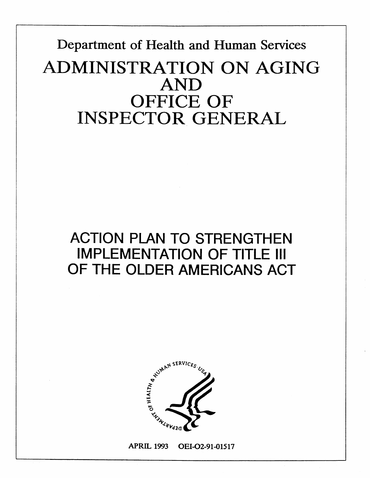# **Department of Health and Human Services**  ADMINISTRATION ON AGING **AND OFFICE OF INSPECTOR GENERA**

# **ACTION PLAN TO STRENGTHEN IMPLEMENTATION OF TITLE Ill OF THE OLDER AMERICANS ACT**



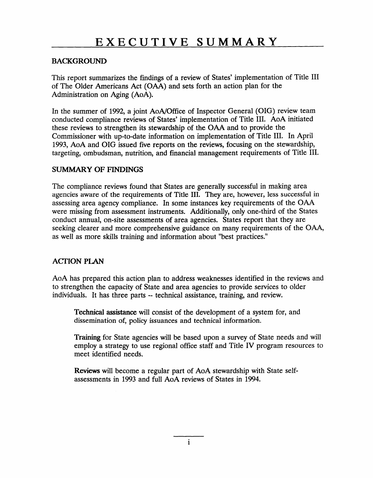#### BACKGROUND

This report summarizes the findings of a review of States' implementation of Title III of The Older Americans Act (OAA) and sets forth an action plan for the Administration on Aging (AoA).

In the summer of 1992, a joint AoA/Office of Inspector General (OIG) review team conducted compliance reviews of States' implementation of Title III. AoA initiated these reviews to strengthen its stewardship of the OAA and to provide the Commissioner with up-to-date information on implementation of Title III. In April 1993, AoA and OIG issued five reports on the reviews, focusing on the stewardship, targeting, ombudsman, nutrition, and financial management requirements of Title III.

#### SUMMARY OF FINDINGS

The compliance reviews found that States are generally successful in making area agencies aware of the requirements of Title III. They are, however, less successful in assessing area agency compliance. In some instances key requirements of the OAA were missing from assessment instruments. Additionally, only one-third of the States conduct annual, on-site assessments of area agencies. States report that they are seeking clearer and more comprehensive guidance on many requirements of the OAA, as well as more skills training and information about "best practices."

#### ACTION PLAN

individuals. It has three parts -- technical assistance, training, and review. AoA has prepared this action plan to address weaknesses identified in the reviews and to strengthen the capacity of State and area agencies to provide services to older

Technical assistance will consist of the development of a system for, and dissemination of, policy issuances and technical information.

Training for State agencies will be based upon a survey of State needs and will employ a strategy to use regional office staff and Title IV program resources to meet identified needs.

Reviews will become a regular part of AoA stewardship with State selfassessments in 1993 and full AoA reviews of States in 1994.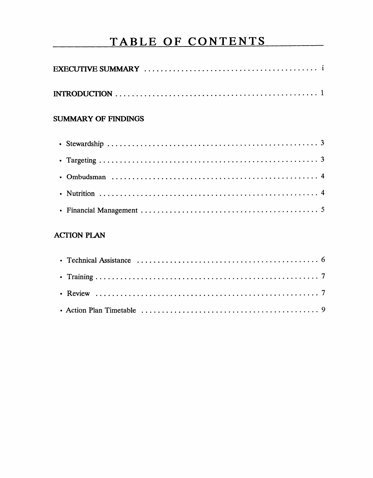## TABLE OF CONTENTS

#### **SUMMARY OF FINDINGS**

### **ACTION PLAN**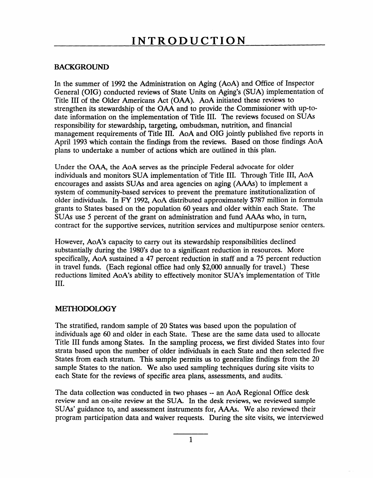#### BACKGROUND

In the summer of 1992 the Administration on Aging (AoA) and Office of Inspector General (OIG) conducted reviews of State Units on Aging's (SUA) implementation of Title III of the Older Americans Act (OAA). AoA initiated these reviews to strengthen its stewardship of the OAA and to provide the Commissioner with up-todate information on the implementation of Title III. The reviews focused on SUAs responsibility for stewardship, targeting, ombudsman, nutrition, and financial management requirements of Title III. AoA and OIG jointly published five reports in April 1993 which contain the findings from the reviews. Based on those findings AoA plans to undertake a number of actions which are outlined in this plan.

Under the OAA, the AoA serves as the principle Federal advocate for older individuals and monitors SUA implementation of Title III. Through Title III, AoA encourages and assists SUAs and area agencies on aging (AAAs) to implement a system of community-based services to prevent the premature institutionalization of older individuals. In FY 1992, AoA distributed approximately \$787 million in formula grants to States based on the population 60 years and older within each State. The SUAs use 5 percent of the grant on administration and fund AAAs who, in turn, contract for the supportive services, nutrition services and multipurpose senior centers.

However, AoA's capacity to carry out its stewardship responsibilities declined substantially during the 1980's due to a significant reduction in resources. More specifically, AoA sustained a 47 percent reduction in staff and a 75 percent reduction in travel funds. (Each regional office had only \$2,000 annually for travel.) These reductions limited AoA's ability to effectively monitor SUA'S implementation of Title III.

#### METHODOLOGY

The stratified, random sample of 20 States was based upon the population of individuals age 60 and older in each State. These are the same data used to allocate Title III funds among States. In the sampling process, we first divided States into four strata based upon the number of older individuals in each State and then selected five States from each stratum. This sample permits us to generalize findings from the 20 sample States to the nation. We also used sampling techniques during site visits to each State for the reviews of specific area plans, assessments, and audits.

The data collection was conducted in two phases -- an AoA Regional Office desk review and an on-site review at the SUA. In the desk reviews, we reviewed sample SUAs' guidance to, and assessment instruments for, AAAs. We also reviewed their program participation data and waiver requests. During the site visits, we interviewed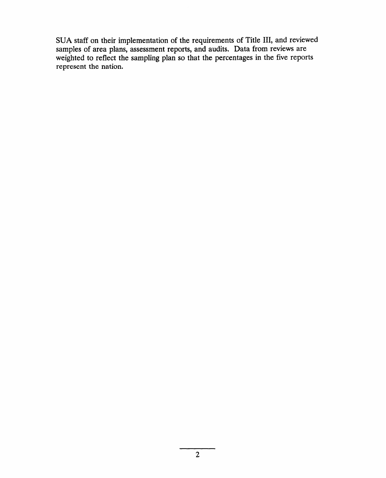SUA staff on their implementation of the requirements of Title III, and review samples of area plans, assessment reports, and audits. Data from reviews are weighted to reflect the sampling plan so that the percentages in the five reports represent the nation.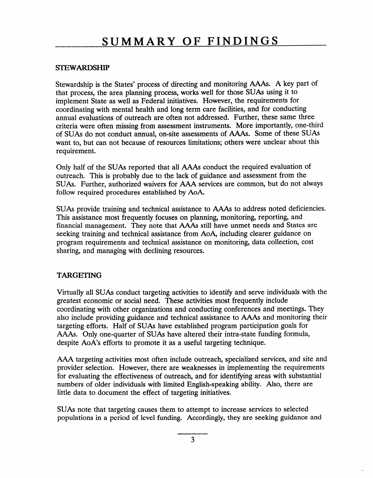#### STEWARDSHIP

Stewardship is the States' process of directing and monitoring AAAs. A key part of that process, the area planning process, works well for those SUAS using it to implement State as well as Federal initiatives. However, the requirements for coordinating with mental health and long term care facilities, and for conducting annual evaluations of outreach are often not addressed. Further, these same three criteria were often missing from assessment instruments. More importantly, one-third of SUAS do not conduct annual, on-site assessments of AAAs. Some of these SUAS want to, but can not because of resources limitations; others were unclear about this requirement.

Only half of the SUAS reported that all AAAs conduct the required evaluation of outreach. This is probably due to the lack of guidance and assessment from the SUAS. Further, authorized waivers for AAA services are common, but do not always follow required procedures established by AoA.

SUAS provide training and technical assistance to AAAs to address noted deficiencies. This assistance most frequently focuses on planning, monitoring, reporting, and financial management. They note that AAAs still have unmet needs and States are seeking training and technical assistance from AoA, including clearer guidance on program requirements and technical assistance on monitoring, data collection, cost sharing, and managing with declining resources.

#### TARGETING

Virtually all SUAS conduct targeting activities to identify and serve individuals with the greatest economic or social need. These activities most frequently include coordinating with other organizations and conducting conferences and meetings. They also include providing guidance and technical assistance to AAAs and monitoring their targeting efforts. Half of SUAS have established program participation goals for AAAs. Only one-quarter of SUAS have altered their intra-state funding formula, despite AoA's efforts to promote it as a useful targeting technique.

AAA targeting activities most often include outreach, specialized services, and site and provider selection. However, there are weaknesses in implementing the requirement for evaluating the effectiveness of outreach, and for identifying areas with substantia numbers of older individuals with limited English-speaking ability. Also, there are little data to document the effect of targeting initiatives.

SUAS note that targeting causes them to attempt to increase services to selected populations in a period of level funding. Accordingly, they are seeking guidance and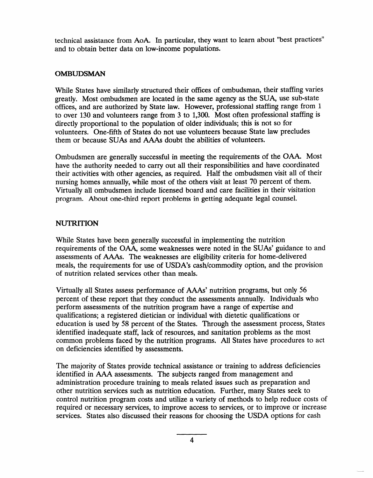technical assistance from AoA. In particular, they want to learn about "best practices" and to obtain better data on low-income populations.

#### OMBUDSMAN

While States have similarly structured their offices of ombudsman, their staffing varies greatly. Most ombudsmen are located in the same agency as the SUA, use sub-state offices, and are authorized by State law. However, professional staffing range from 1 to over 130 and volunteers range from 3 to 1,300. Most often professional staffing is directly proportional to the population of older individuals; this is not so for volunteers. One-fifth of States do not use volunteers because State law precludes them or because SUAS and AAAs doubt the abilities of volunteers.

Ombudsmen are generally successful in meeting the requirements of the OAA. Most have the authority needed to carry out all their responsibilities and have coordinated their activities with other agencies, as required. Half the ombudsmen visit all of their nursing homes annually, while most of the others visit at least 70 percent of them. Virtually all ombudsmen include licensed board and care facilities in their visitation program. About one-third report problems in getting adequate legal counsel.

#### **NUTRITION**

While States have been generally successful in implementing the nutrition requirements of the OAA, some weaknesses were noted in the SUAs' guidance to and assessments of AAAs. The weaknesses are eligibility criteria for home-delivere meals, the requirements for use of USDA'S cash/commodity option, and the provision of nutrition related services other than meals.

Virtually all States assess performance of AAAs' nutrition programs, but only 56 percent of these report that they conduct the assessments annually. Individuals who perform assessments of the nutrition program have a range of expertise and qualifications; a registered dietician or individual with dietetic qualifications or education is used by 58 percent of the States. Through the assessment process, States identified inadequate staff, lack of resources, and sanitation problems as the most common problems faced by the nutrition programs. All States have procedures to act on deficiencies identified by assessments.

The majority of States provide technical assistance or training to address deficiencies identified in AAA assessments. The subjects ranged from management and administration procedure training to meals related issues such as preparation and other nutrition services such as nutrition education. Further, many States seek to control nutrition program costs and utilize a variety of methods to help reduce costs of required or necessary services, to improve access to services, or to improve or increase services. States also discussed their reasons for choosing the USDA options for cash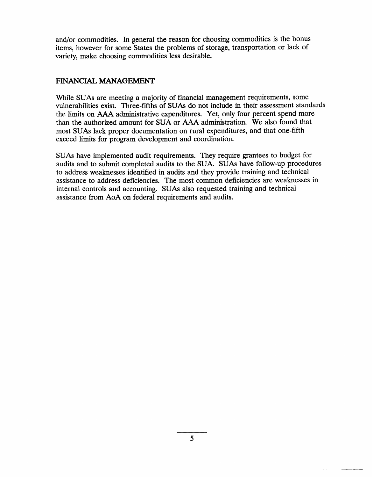and/or commodities. In general the reason for choosing commodities is the bonus items, however for some States the problems of storage, transportation or lack of variety, make choosing commodities less desirable.

#### FINANCIAL MANAGEMENT

While SUAs are meeting a majority of financial management requirements, some vulnerabilities exist. Three-fifths of SUAS do not include in their assessment standards the limits on AAA administrative expenditures. Yet, only four percent spend more than the authorized amount for SUA or AAA administration. We also found that most SUAS lack proper documentation on rural expenditures, and that one-fifth exceed limits for program development and coordination.

SUAS have implemented audit requirements. They require grantees to budget for audits and to submit completed audits to the SUA. SUAS have follow-up procedures to address weaknesses identified in audits and they provide training and technical assistance to address deficiencies. The most common deficiencies are weaknesses in internal controls and accounting. SUAS also requested training and technical assistance from AoA on federal requirements and audits.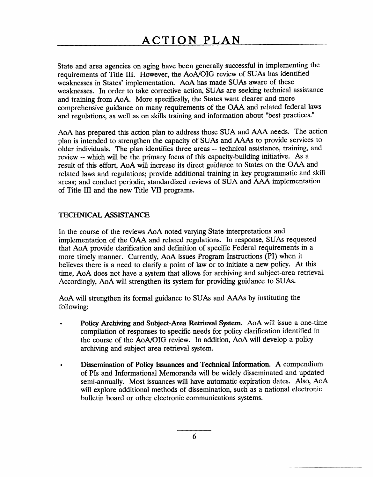State and area agencies on aging have been generally successful in implementing the requirements of Title III. However, the AoA/OIG review of SUAS has identified weaknesses in States' implementation. AoA has made SUAS aware of these weaknesses. In order to take corrective action, SUAS are seeking technical assistance and training from AoA. More specifically, the States want clearer and more comprehensive guidance on many requirements of the OAA and related federal laws and regulations, as well as on skills training and information about "best practices."

older individuals. The plan identifies three areas -- technical assistance, training, and AoA has prepared this action plan to address those SUA and AAA needs. The action plan is intended to strengthen the capacity of SUAS and AAAs to provide services to review -- which will be the primary focus of this capacity-building initiative. As a result of this effort, AoA will increase its direct guidance to States on the OAA and related laws and regulations; provide additional training in key programmatic and skill areas; and conduct periodic, standardized reviews of SUA and AAA implementation of Title III and the new Title VII programs.

#### TECHNICAL ASSISTANCE

In the course of the reviews AoA noted varying State interpretations and implementation of the OAA and related regulations. In response, SUAS requested that AoA provide clarification and definition of specific Federal requirements in a more timely manner. Currently, AoA issues Program Instructions (PI) when it believes there is a need to clarify a point of law or to initiate a new policy. At this time, AoA does not have a system that allows for archiving and subject-area retrieval. Accordingly, AoA will strengthen its system for providing guidance to SUAS.

AoA will strengthen its formal guidance to SUAS and AAAs by instituting the following:

- Policy Archiving and Subject-Area Retrieval System. AoA will issue a one-time compilation of responses to specific needs for policy clarification identified in the course of the AoA/OIG review. In addition, AoA will develop a policy archiving and subject area retrieval system.
- Dissemination of Policy Issuances and Technical Information. A compendium of PIs and Informational Memoranda will be widely disseminated and updated semi-annually. Most issuances will have automatic expiration dates. Also, AoA will explore additional methods of dissemination, such as a national electronic bulletin board or other electronic communications systems.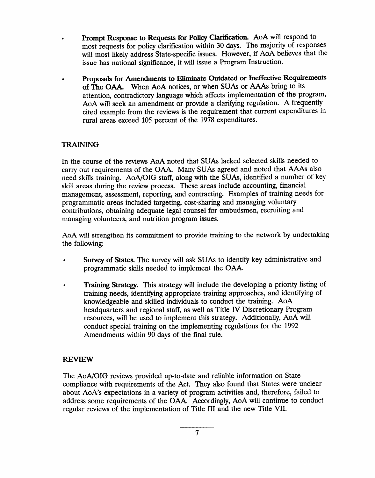- Prompt Response to Requests for Policy Clarification. AoA will respond to most requests for policy clarification within 30 days. The majority of responses will most likely address State-specific issues. However, if AoA believes that the issue has national significance, it will issue a Program Instruction.
- Proposals for Amendments to Eliminate Outdated or Ineffective Requirements of The OAA. When AoA notices, or when SUAS or AAAs bring to its attention, contradictory language which affects implementation of the program, AoA will seek an amendment or provide a clarifying regulation. A frequently cited example from the reviews is the requirement that current expenditures in rural areas exceed 105 percent of the 1978 expenditures.

#### TRAINING

In the course of the reviews AoA noted that SUAS lacked selected skills needed to carry out requirements of the OAA. Many SUAS agreed and noted that AAAs also need skills training. AoA/OIG staff, along with the SUAS, identified a number of key skill areas during the review process. These areas include accounting, financial management, assessment, reporting, and contracting. Examples of training needs for programmatic areas included targeting, cost-sharing and managing voluntary contributions, obtaining adequate legal counsel for ombudsmen, recruiting and managing volunteers, and nutrition program issues.

AoA will strengthen its commitment to provide training to the network by undertaking the following:

- Survey of States. The survey will ask SUAs to identify key administrative and programmatic skills needed to implement the OAA.
- Training Strategy. This strategy will include the developing a priority listing of training needs, identifying appropriate training approaches, and identifying of knowledgeable and skilled individuals to conduct the training. AoA headquarters and regional staff, as well as Title IV Discretionary Program resources, will be used to implement this strategy. Additionally, AoA will conduct special training on the implementing regulations for the 1992 Amendments within 90 days of the final rule.

#### REVIEW

The AoA/OIG reviews provided up-to-date and reliable information on State compliance with requirements of the Act. They also found that States were unclear about AoA's expectations in a variety of program activities and, therefore, failed to address some requirements of the OAA. Accordingly, AoA will continue to conduct regular reviews of the implementation of Title III and the new Title VII.

7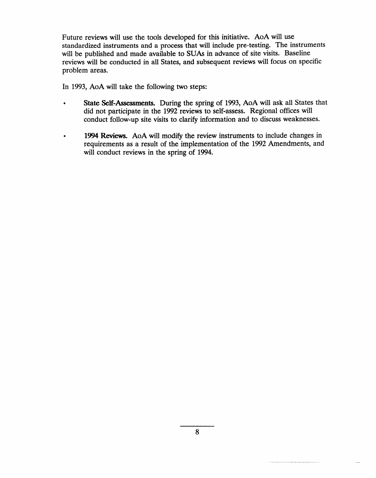Future reviews will use the tools developed for this initiative. AoA will use standardized instruments and a process that will include pre-testing. The instruments will be published and made available to SUAs in advance of site visits. Baseline reviews will be conducted in all States, and subsequent reviews will focus on specific problem areas.

In 1993, AoA will take the following two steps:

- � State Self-Assessments. During the spring of 1993, AoA will ask all States that did not participate in the 1992 reviews to self-assess. Regional offices will conduct follow-up site visits to clarify information and to discuss weaknesses.
- 1994 Reviews. AoA will modify the review instruments to include changes in requirements as a result of the implementation of the 1992 Amendments, and will conduct reviews in the spring of 1994.